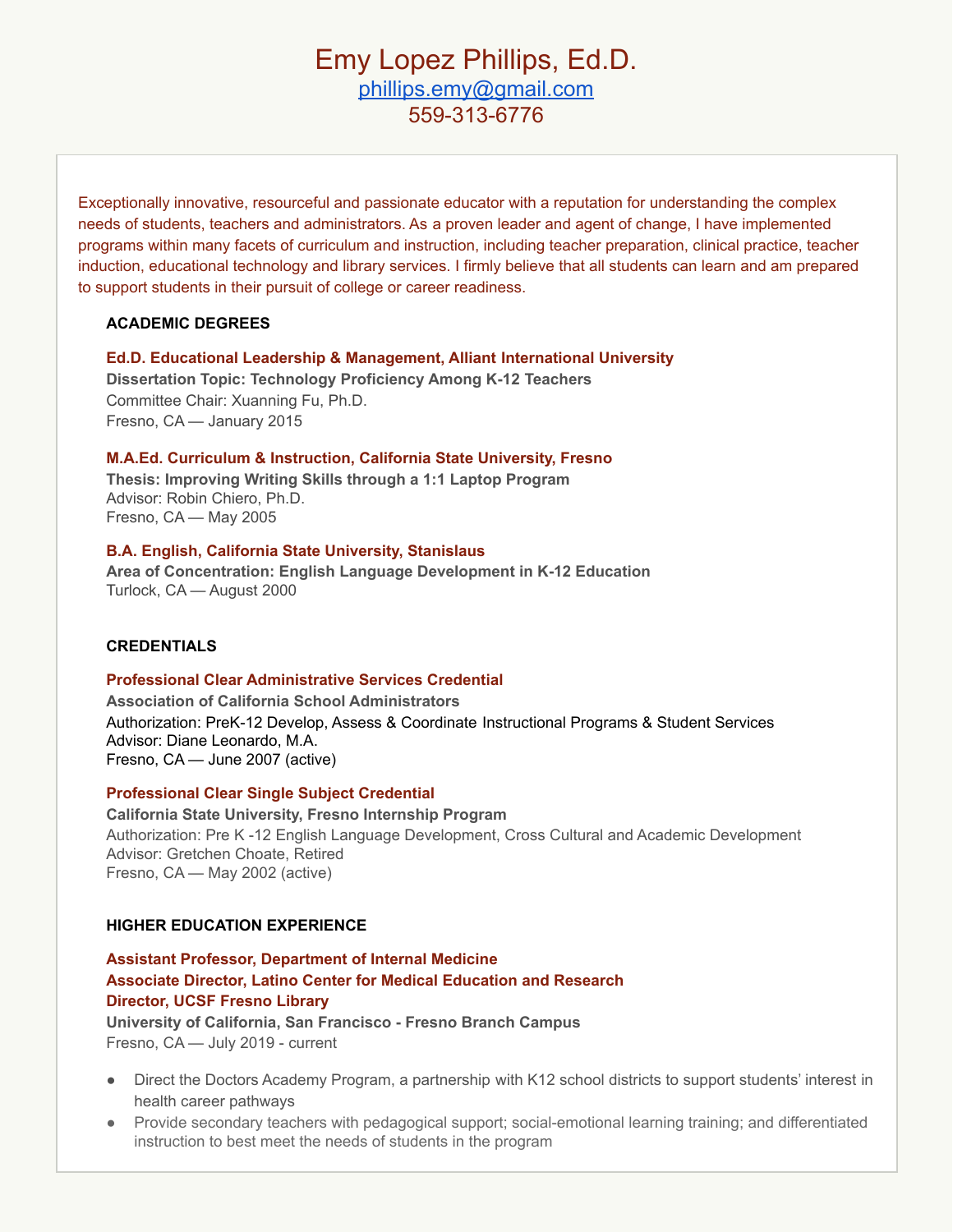# Emy Lopez Phillips, Ed.D. [phillips.emy@gmail.com](mailto:phillips.emy@gmail.com) 559-313-6776

Exceptionally innovative, resourceful and passionate educator with a reputation for understanding the complex needs of students, teachers and administrators. As a proven leader and agent of change, I have implemented programs within many facets of curriculum and instruction, including teacher preparation, clinical practice, teacher induction, educational technology and library services. I firmly believe that all students can learn and am prepared to support students in their pursuit of college or career readiness.

# **ACADEMIC DEGREES**

**Ed.D. Educational Leadership & Management, Alliant International University Dissertation Topic: Technology Proficiency Among K-12 Teachers**

Committee Chair: Xuanning Fu, Ph.D. Fresno, CA — January 2015

# **M.A.Ed. Curriculum & Instruction, California State University, Fresno**

**Thesis: Improving Writing Skills through a 1:1 Laptop Program** Advisor: Robin Chiero, Ph.D. Fresno, CA — May 2005

# **B.A. English, California State University, Stanislaus**

**Area of Concentration: English Language Development in K-12 Education** Turlock, CA — August 2000

# **CREDENTIALS**

# **Professional Clear Administrative Services Credential**

**Association of California School Administrators** Authorization: PreK-12 Develop, Assess & Coordinate Instructional Programs & Student Services Advisor: Diane Leonardo, M.A. Fresno, CA — June 2007 (active)

# **Professional Clear Single Subject Credential**

**California State University, Fresno Internship Program** Authorization: Pre K -12 English Language Development, Cross Cultural and Academic Development Advisor: Gretchen Choate, Retired Fresno, CA — May 2002 (active)

# **HIGHER EDUCATION EXPERIENCE**

# **Assistant Professor, Department of Internal Medicine Associate Director, Latino Center for Medical Education and Research Director, UCSF Fresno Library University of California, San Francisco - Fresno Branch Campus**

Fresno, CA — July 2019 - current

- Direct the Doctors Academy Program, a partnership with K12 school districts to support students' interest in health career pathways
- Provide secondary teachers with pedagogical support; social-emotional learning training; and differentiated instruction to best meet the needs of students in the program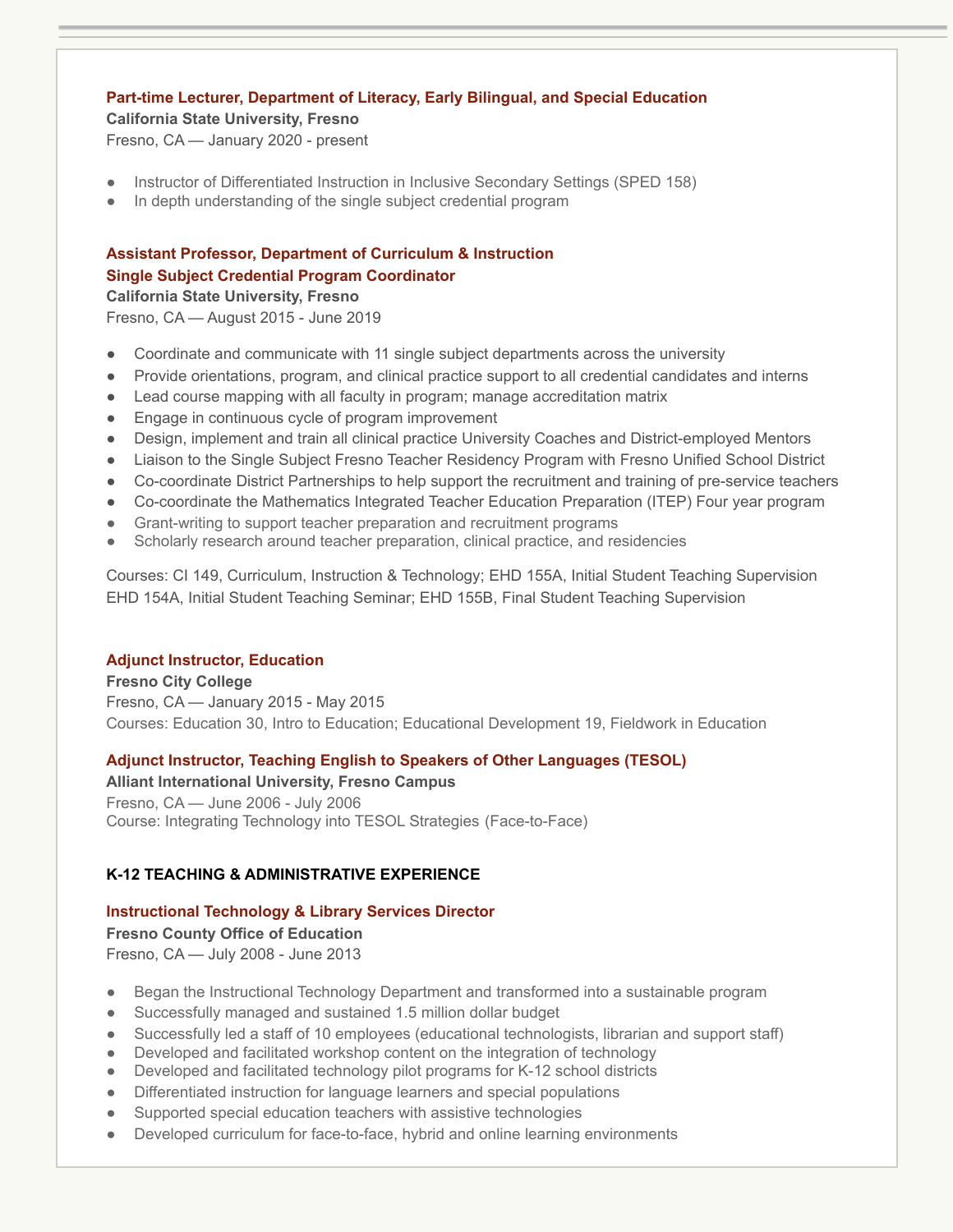# **Part-time Lecturer, Department of Literacy, Early Bilingual, and Special Education**

### **California State University, Fresno**

Fresno, CA — January 2020 - present

- Instructor of Differentiated Instruction in Inclusive Secondary Settings (SPED 158)
- In depth understanding of the single subject credential program

# **Assistant Professor, Department of Curriculum & Instruction Single Subject Credential Program Coordinator**

**California State University, Fresno**

Fresno, CA — August 2015 - June 2019

- Coordinate and communicate with 11 single subject departments across the university
- Provide orientations, program, and clinical practice support to all credential candidates and interns
- Lead course mapping with all faculty in program; manage accreditation matrix
- Engage in continuous cycle of program improvement
- Design, implement and train all clinical practice University Coaches and District-employed Mentors
- Liaison to the Single Subject Fresno Teacher Residency Program with Fresno Unified School District
- Co-coordinate District Partnerships to help support the recruitment and training of pre-service teachers
- Co-coordinate the Mathematics Integrated Teacher Education Preparation (ITEP) Four year program
- Grant-writing to support teacher preparation and recruitment programs
- Scholarly research around teacher preparation, clinical practice, and residencies

Courses: CI 149, Curriculum, Instruction & Technology; EHD 155A, Initial Student Teaching Supervision EHD 154A, Initial Student Teaching Seminar; EHD 155B, Final Student Teaching Supervision

# **Adjunct Instructor, Education**

**Fresno City College** Fresno, CA — January 2015 - May 2015 Courses: Education 30, Intro to Education; Educational Development 19, Fieldwork in Education

# **Adjunct Instructor, Teaching English to Speakers of Other Languages (TESOL)**

**Alliant International University, Fresno Campus** Fresno, CA — June 2006 - July 2006 Course: Integrating Technology into TESOL Strategies (Face-to-Face)

# **K-12 TEACHING & ADMINISTRATIVE EXPERIENCE**

# **Instructional Technology & Library Services Director**

**Fresno County Office of Education** Fresno, CA — July 2008 - June 2013

- **●** Began the Instructional Technology Department and transformed into a sustainable program
- **●** Successfully managed and sustained 1.5 million dollar budget
- Successfully led a staff of 10 employees (educational technologists, librarian and support staff)
- Developed and facilitated workshop content on the integration of technology
- Developed and facilitated technology pilot programs for K-12 school districts
- **●** Differentiated instruction for language learners and special populations
- Supported special education teachers with assistive technologies
- **●** Developed curriculum for face-to-face, hybrid and online learning environments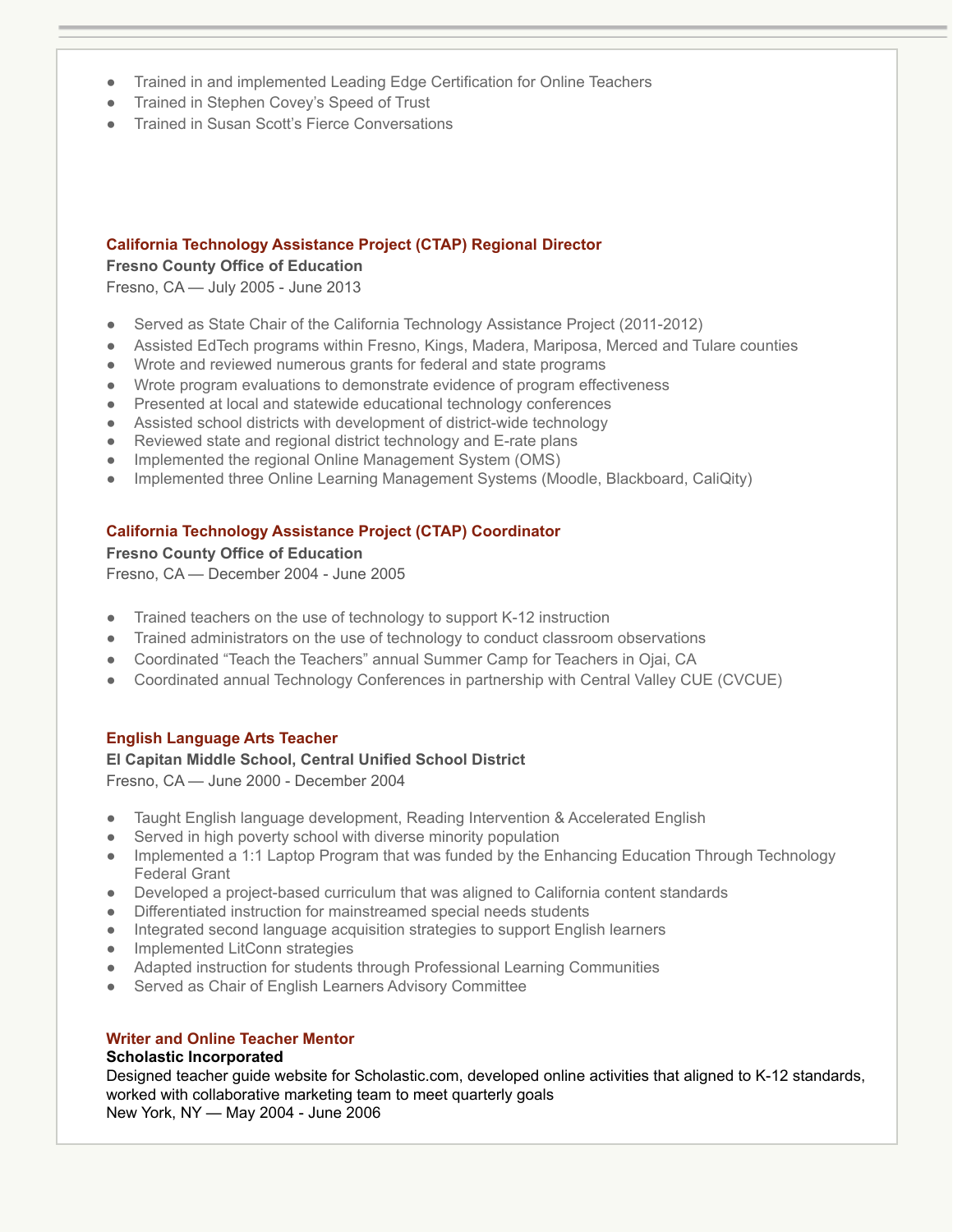- **●** Trained in and implemented Leading Edge Certification for Online Teachers
- **●** Trained in Stephen Covey's Speed of Trust
- **Trained in Susan Scott's Fierce Conversations**

# **California Technology Assistance Project (CTAP) Regional Director**

# **Fresno County Office of Education**

Fresno, CA — July 2005 - June 2013

- Served as State Chair of the California Technology Assistance Project (2011-2012)
- **●** Assisted EdTech programs within Fresno, Kings, Madera, Mariposa, Merced and Tulare counties
- **●** Wrote and reviewed numerous grants for federal and state programs
- **●** Wrote program evaluations to demonstrate evidence of program effectiveness
- **●** Presented at local and statewide educational technology conferences
- **●** Assisted school districts with development of district-wide technology
- **●** Reviewed state and regional district technology and E-rate plans
- **●** Implemented the regional Online Management System (OMS)
- **●** Implemented three Online Learning Management Systems (Moodle, Blackboard, CaliQity)

# **California Technology Assistance Project (CTAP) Coordinator**

# **Fresno County Office of Education**

Fresno, CA — December 2004 - June 2005

- **●** Trained teachers on the use of technology to support K-12 instruction
- **●** Trained administrators on the use of technology to conduct classroom observations
- **●** Coordinated "Teach the Teachers" annual Summer Camp for Teachers in Ojai, CA
- **●** Coordinated annual Technology Conferences in partnership with Central Valley CUE (CVCUE)

# **English Language Arts Teacher**

# **El Capitan Middle School, Central Unified School District**

Fresno, CA — June 2000 - December 2004

- Taught English language development, Reading Intervention & Accelerated English
- Served in high poverty school with diverse minority population
- **●** Implemented a 1:1 Laptop Program that was funded by the Enhancing Education Through Technology Federal Grant
- **●** Developed a project-based curriculum that was aligned to California content standards
- **●** Differentiated instruction for mainstreamed special needs students
- **●** Integrated second language acquisition strategies to support English learners
- **●** Implemented LitConn strategies
- **●** Adapted instruction for students through Professional Learning Communities
- **●** Served as Chair of English Learners Advisory Committee

# **Writer and Online Teacher Mentor**

# **Scholastic Incorporated**

Designed teacher guide website for Scholastic.com, developed online activities that aligned to K-12 standards, worked with collaborative marketing team to meet quarterly goals New York, NY — May 2004 - June 2006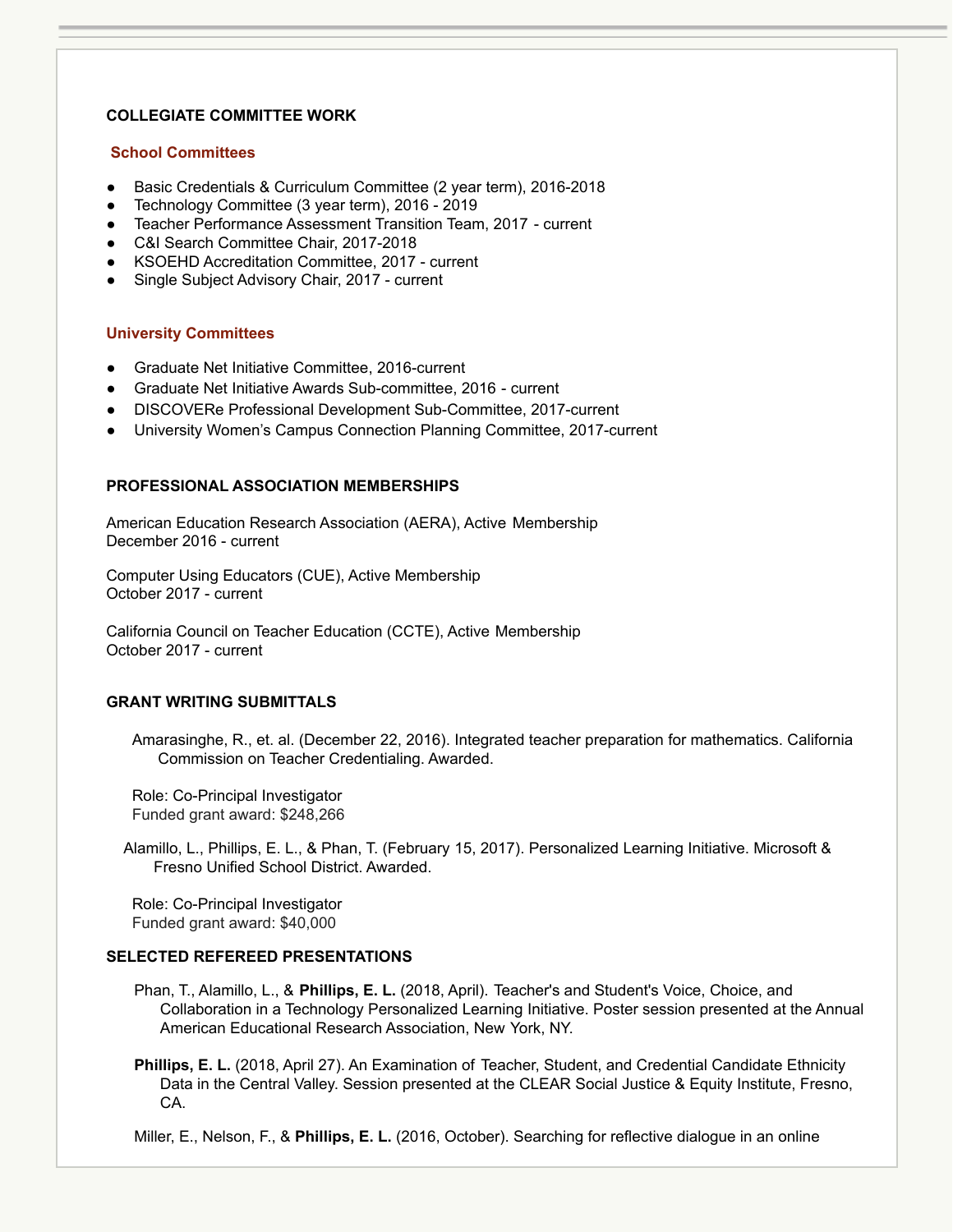# **COLLEGIATE COMMITTEE WORK**

### **School Committees**

- Basic Credentials & Curriculum Committee (2 year term), 2016-2018
- Technology Committee (3 year term), 2016 2019
- Teacher Performance Assessment Transition Team, 2017 current
- C&I Search Committee Chair, 2017-2018
- KSOEHD Accreditation Committee, 2017 current
- Single Subject Advisory Chair, 2017 current

### **University Committees**

- Graduate Net Initiative Committee, 2016-current
- Graduate Net Initiative Awards Sub-committee, 2016 current
- DISCOVERe Professional Development Sub-Committee, 2017-current
- University Women's Campus Connection Planning Committee, 2017-current

### **PROFESSIONAL ASSOCIATION MEMBERSHIPS**

American Education Research Association (AERA), Active Membership December 2016 - current

Computer Using Educators (CUE), Active Membership October 2017 - current

California Council on Teacher Education (CCTE), Active Membership October 2017 - current

### **GRANT WRITING SUBMITTALS**

Amarasinghe, R., et. al. (December 22, 2016). Integrated teacher preparation for mathematics. California Commission on Teacher Credentialing. Awarded.

Role: Co-Principal Investigator Funded grant award: \$248,266

Alamillo, L., Phillips, E. L., & Phan, T. (February 15, 2017). Personalized Learning Initiative. Microsoft & Fresno Unified School District. Awarded.

Role: Co-Principal Investigator Funded grant award: \$40,000

### **SELECTED REFEREED PRESENTATIONS**

- Phan, T., Alamillo, L., & **Phillips, E. L.** (2018, April). Teacher's and Student's Voice, Choice, and Collaboration in a Technology Personalized Learning Initiative. Poster session presented at the Annual American Educational Research Association, New York, NY.
- **Phillips, E. L.** (2018, April 27). An Examination of Teacher, Student, and Credential Candidate Ethnicity Data in the Central Valley. Session presented at the CLEAR Social Justice & Equity Institute, Fresno, CA.

Miller, E., Nelson, F., & **Phillips, E. L.** (2016, October). Searching for reflective dialogue in an online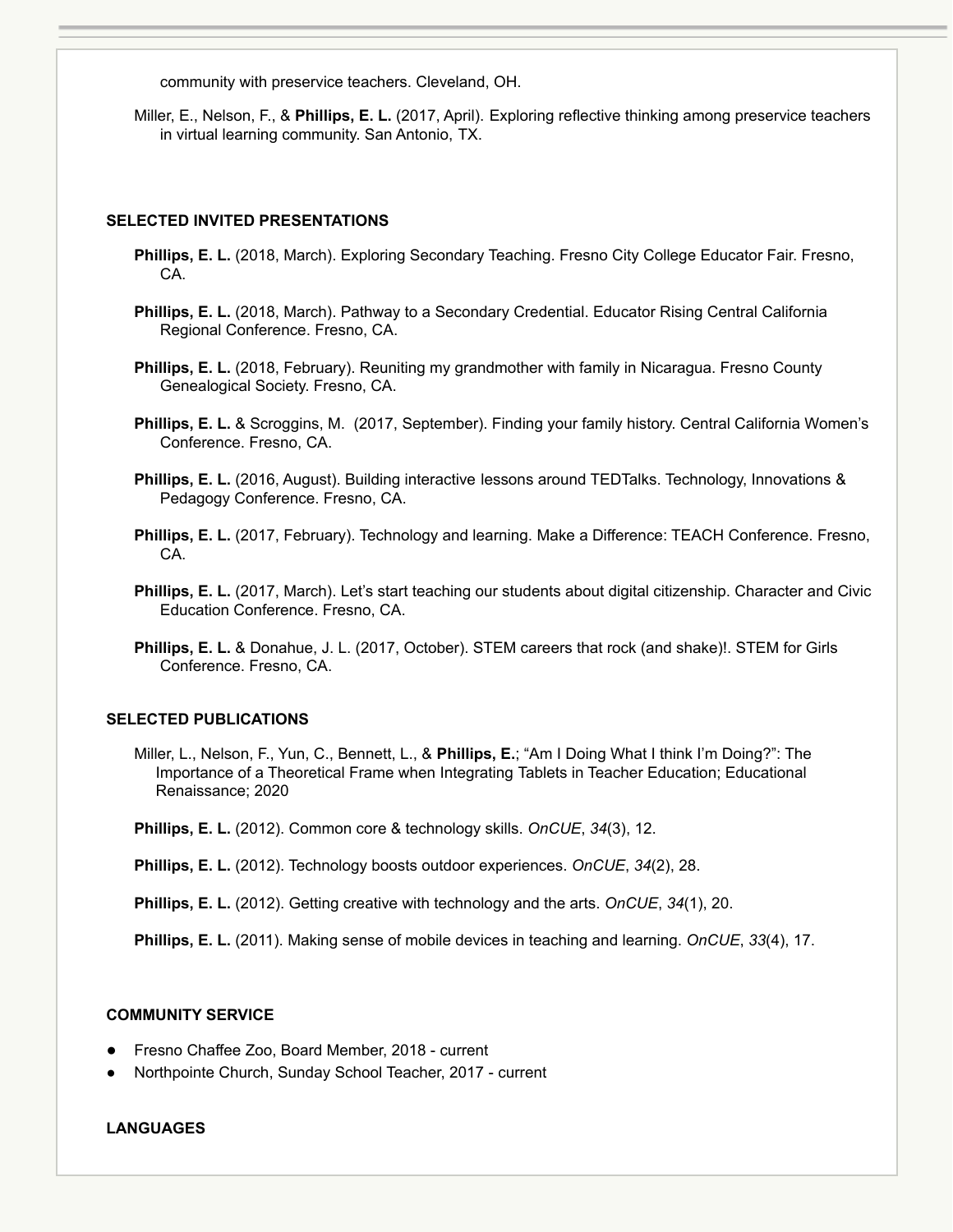community with preservice teachers. Cleveland, OH.

Miller, E., Nelson, F., & **Phillips, E. L.** (2017, April). Exploring reflective thinking among preservice teachers in virtual learning community. San Antonio, TX.

#### **SELECTED INVITED PRESENTATIONS**

- **Phillips, E. L.** (2018, March). Exploring Secondary Teaching. Fresno City College Educator Fair. Fresno, CA.
- **Phillips, E. L.** (2018, March). Pathway to a Secondary Credential. Educator Rising Central California Regional Conference. Fresno, CA.
- **Phillips, E. L.** (2018, February). Reuniting my grandmother with family in Nicaragua. Fresno County Genealogical Society. Fresno, CA.
- **Phillips, E. L.** & Scroggins, M. (2017, September). Finding your family history. Central California Women's Conference. Fresno, CA.
- **Phillips, E. L.** (2016, August). Building interactive lessons around TEDTalks. Technology, Innovations & Pedagogy Conference. Fresno, CA.
- **Phillips, E. L.** (2017, February). Technology and learning. Make a Difference: TEACH Conference. Fresno, CA.
- **Phillips, E. L.** (2017, March). Let's start teaching our students about digital citizenship. Character and Civic Education Conference. Fresno, CA.
- **Phillips, E. L.** & Donahue, J. L. (2017, October). STEM careers that rock (and shake)!. STEM for Girls Conference. Fresno, CA.

### **SELECTED PUBLICATIONS**

- Miller, L., Nelson, F., Yun, C., Bennett, L., & **Phillips, E.**; "Am I Doing What I think I'm Doing?": The Importance of a Theoretical Frame when Integrating Tablets in Teacher Education; Educational Renaissance; 2020
- **Phillips, E. L.** (2012). Common core & technology skills. *OnCUE*, *34*(3), 12.
- **Phillips, E. L.** (2012). Technology boosts outdoor experiences. *OnCUE*, *34*(2), 28.
- **Phillips, E. L.** (2012). Getting creative with technology and the arts. *OnCUE*, *34*(1), 20.

**Phillips, E. L.** (2011). Making sense of mobile devices in teaching and learning. *OnCUE*, *33*(4), 17.

#### **COMMUNITY SERVICE**

- Fresno Chaffee Zoo, Board Member, 2018 current
- Northpointe Church, Sunday School Teacher, 2017 current

### **LANGUAGES**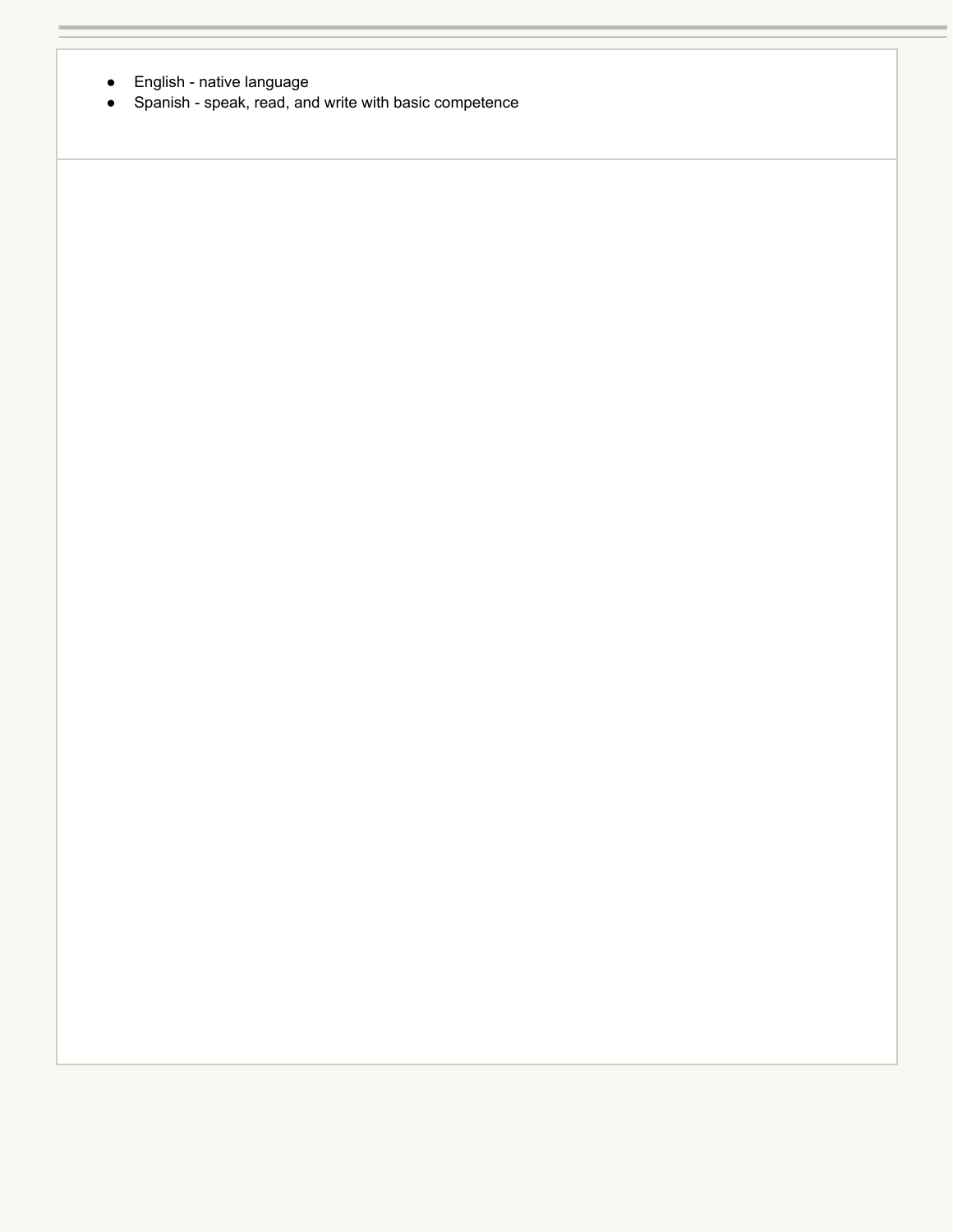- $\bullet$ English - native language
- Spanish - speak, read, and write with basic competence